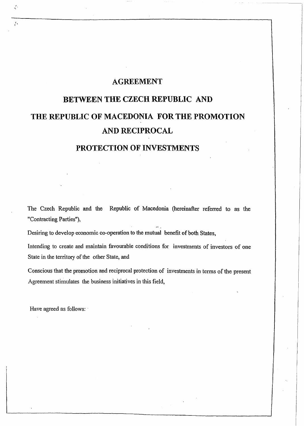# **AGREEMENT**

# **BETWEEN THE CZECH REPUBLIC AND THE REPUBLIC OF MACEDONIA FOR THE PROMOTION AND RECIPROCAL**

# **PROTECTION OF INVESTMENTS**

The Czech Republic and the Republic of Macedonia (hereinafter referred to as the "Contracting Parties"),

Desiring to develop economic co-operation to the mutual benefit of both States,

Intending to create and maintain favourable conditions for investments of investors of one State in the territory of the other State, and

Conscious that the promotion and reciprocal protection of investments in terms of the present Agreement stimulates the business initiatives in this field,

Have agreed as follows:

.' ~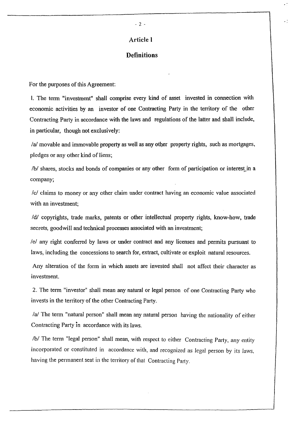#### **Definitions**

For the purposes of this Agreement:

I. The term "investment" shall comprise every kind of asset invested in connection with economic activities by an investor of one Contracting Party in the territory of the other Contracting Party in accordance with the laws and regulations of the latter and shall include, in particular, though not exclusively:

Ia! movable and immovable property as well as any other property rights, such as mortgages, pledges or any other kind of liens;

/b/ shares, stocks and bonds of companies or any other form of participation or interest in a company;

Icl claims to money or any other claim under contract having an economic value associated with an investment;

Idl copyrights, trade marks, patents or other intellectual property rights, know-how, trade secrets, goodwill and technical processes associated with an investment;

lel any right conferred by laws or under contract and any licenses and permits pursuant to laws, including the concessions to search for, extract, cultivate or exploit natural resources.

Any alteration of the form in which assets are invested shall not affect their character as investment.

2. The term "investor" shall mean any natural or legal person of one Contracting Party who invests in the territory of the other Contracting Party.

 $\alpha$  The term "natural person" shall mean any natural person having the nationality of either Contracting Party in accordance with its laws.

/b/ The term "legal person" shall mean, with respect to either Contracting Party, any entity incorporated or constituted in accordance with, and recognized as legal person by *its* laws, having the permanent seat in the territory of that Contracting Party.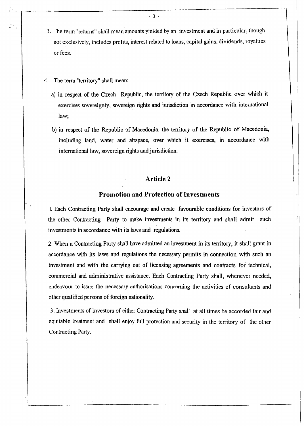- 3. The term "returns" shall mean amounts yielded by an investment and in particular, though not exclusively, includes profits, interest related to loans, capital gains, dividends, royalties or fees.
- 4. The term "territory" shall mean:

 $\ddot{\phantom{a}}$ 

- a) in respect of the Czech Republic, the territory of the Czech Republic over which it exercises sovereignty, sovereign rights and jurisdiction in accordance with international law;
- b) in respect of the Republic of Macedonia, the territory of the Republic of Macedonia, including land, water and airspace, over which it exercises, in accordance with international law, sovereign rights and jurisdiction.

## **Article 2**

#### **Promotion and Protection of Investments**

1. Each Contracting Party shall encourage and create favourable conditions for investors of the other Contracting Party to make investments in its territory and shall admit such investments in accordance with its laws and regulations.

2. When a Contracting Party shall have admitted an investment in its territory, it shall grant in accordance with its laws and regulations the necessary permits in connection with such an investment and with the carrying out of licensing agreements and contracts for technical, commercial and administrative assistance. Each Contracting Party shall, whenever needed, endeavour to issue the necessary authorisations concerning the activities of consultants and other qualified persons of foreign nationality.

3. Investments of investors of either Contracting Party shall at all times be accorded fair and equitable treatment and shall enjoy full protection and security in the territory of the other Contracting Party.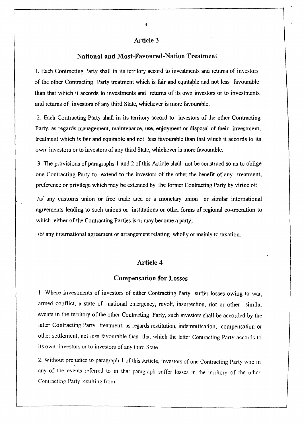#### Article 3

#### National and Most-Favoured-Nation Treatment

1. Each Contracting Party shall in its territory accord to investments and returns of investors of the other Contracting Party treatment which is fair and equitable and not less favourable than that which it accords to investments and returns of its own investors or to investments and returns of investors of any third State, whichever is more favourable.

2. Each Contracting Party shall in its territory accord to investors of the other Contracting Party, as regards management, maintenance, use, enjoyment or disposal of their investment, treatment which is fair and equitable and not less favourable than that which it accords to its own investors or to investors of any third State, whichever is more favourable.

3. The provisions of paragraphs 1 and 2 of this Article shall not be construed so as to oblige one Contracting Party to extend to the investors of the other the benefit of any treatment, preference or privilege which may be extended by the former Contracting Party by virtue of:

 $a$  any customs union or free trade area or a monetary union or similar international agreements leading to such unions or institutions or other forms of regional co-operation to which either of the Contracting Parties is or may become a party;

 $\sqrt{b}$  any international agreement or arrangement relating wholly or mainly to taxation.

# Article 4

#### Compensation for Losses

1. Where investments of investors of either Contracting Party suffer losses owing to war, armed conflict, a state of national emergency, revolt, insurrection, riot or other similar events in the territory of the other Contracting Party, such investors shall be accorded by the latter Contracting Party treatment, as regards restitution, indemnification, compensation or other settlement, not less favourable than that which the latter Contracting Party accords to its own investors or to investors of any third State.

2. Without prejudice to paragraph 1 of this Article, investors of one Contracting Party who in any of the events referred to in that paragraph suffer losses in the territory of the other Contracting Party resulting from: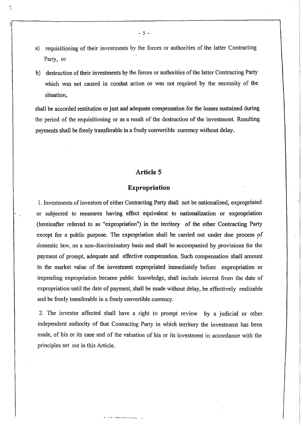- a) requisitioning of their investments by the forces or authorities of the latter Contracting Party, or
- b) destruction of their investments by the forces or authorities of the latter Contracting Party which was not caused in combat action or was not required by the necessity of the situation,

shall be accorded restitution or just and adequate compensation for the losses sustained during the period of the requisitioning or as a result of the destruction of the investment. Resulting payments shall be freely transferable in a freely convertible currency without delay\_

## **Article 5**

#### **Expropriation**

1. Investments of investors of either Contracting Party shall not be nationalised, expropriated or subjected to measures having effect equivalent to nationalization or expropriation (hereinafter referred to as "expropriation") in the territory of the other Contracting Party except for a public purpose. The expropriation shall be carried out under due process of domestic law, on a non-discriminatory basis and shall be accompanied by provisions for the payment of prompt, adequate and effective compensation. Such compensation shall amount to the market value of the investment expropriated immediately before expropriation or impending expropriation became public knowledge, shall include interest from the date of expropriation until the date of payment, shall be made without delay, be effectively realizable and be freely transferable in a freely convertible currency.

2. The investor affected shall have a right to prompt review by a judicial or other independent authority of that Contracting Party in which territory the investment has been made, of his or its case and of the valuation of his or its investment in accordance with the principles set out in this Article.

- 5 -

 $\frac{1}{2}$ 

.,.

 $\cdot$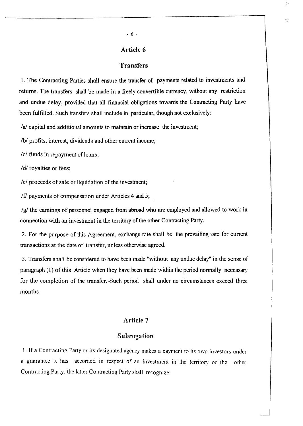# Article 6

# Transfers

1. The Contracting Parties shall ensure the transfer of payments related to investments and returns. The transfers shall be made in a freely convertible currency, without any restriction and undue delay, provided that all financial obligations towards the Contracting Party have been fulfilled. Such transfers shall include in particular, though not exclusively:

 $\alpha$  capital and additional amounts to maintain or increase the investment;

/b/ profits, interest, dividends and other current income;

/c/ funds in repayment of loans;

/d/ royalties or fees;

*lei* proceeds of sale or liquidation of the investment;

If payments of compensation under Articles 4 and 5;

*Igl* the earnings of personnel engaged from abroad who are employed and allowed to work in connection with an investment in the territory of the other Contracting Party.

2. For the purpose of this Agreement, exchange rate shall be the prevailing rate for current transactions at the date of transfer, unless otherwise agreed.

3. Transfers shall be considered to have been made "without any undue delay" in the sense of paragraph (1) of this Article when they have been made within the period normally necessary for the completion of the transfer. Such period shall under no circumstances exceed three months.

## Article 7

#### Subrogation

1. If a Contracting Party or its designated agency makes a payment to its own investors under a guarantee it has accorded in respect of an investment in the territory of the other Contracting Party, the latter Contracting Party shall recognize:

..

۸J.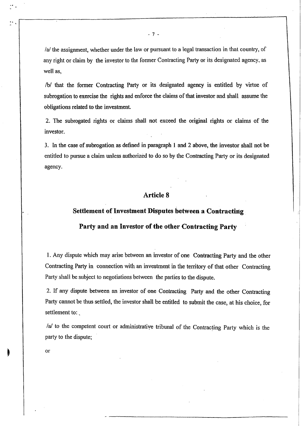$a$  the assignment, whether under the law or pursuant to a legal transaction in that country, of any right or claim by the investor to the former Contracting Party or its designated agency, as

/b/ that the former Contracting Party or its designated agency is entitled by virtue of subrogation to exercise the rights and enforce the claims of that investor and shall assume the obligations related to the investment.

2. The subrogated rights or claims shall not exceed the original rights or claims of the investor.

3. In the case of subrogation as defined in paragraph 1 and 2 above, the investor shall not be entitled to pursue a claim unless authorized to do so by the Contracting Party or its designated agency.

# **Article 8**

### **Settlement of Investment Disputes between a Contracting**

#### **Party and an Investor** of·the **other Contracting Party**

1. Any dispute which may arise between an investor of one Contracting Party and the other Contracting Party in connection with an investment in the territory of that other Contracting Party shall be subject to negotiations between the parties to the dispute.

2. If any dispute between an investor of one Contracting Party and the other Contracting Party cannot be thus settled, the investor shall be entitled to submit the case, at his choice, for settlement to:

/a/ to the competent court or administrative tribunal of the Contracting Party which is the party to the dispute;

or

well as,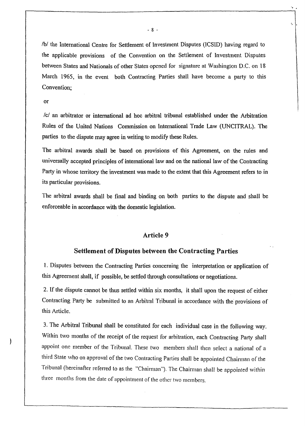/b/ the International Centre for Settlement of Investment Disputes (ICSID) having regard to the applicable provisions of the Convention on the Settlement of Investment Disputes between States and Nationals of other States opened for signature at Washington D.C. on 18 March 1965, in the event both Contracting Parties shall have become a party to this Convention;

#### or

*lei* an arbitrator or international ad hoc arbitral tribunal established under the Arbitration Rules of the United Nations Commission on International Trade Law (UNCITRAL). The parties to the dispute may agree in writing to modify these Rules.

The arbitral awards shall be based on provisions of this Agreement, on the rules and universally accepted principles of international law and on the national law of the Contracting Party in whose territory the investment was made to the extent that this Agreement refers to in its particular provisions.

The arbitral awards shall be final and binding on both parties to the dispute and shall be enforceable in accordance with the domestic legislation.

#### Article 9

#### Settlement of Disputes between the Contracting Parties

1. Disputes between the Contracting Parties concerning the interpretation or application of this Agreement shall, if possible, be settled through consultations or negotiations.

2. If the dispute cannot be thus settled within six months, it shall upon the request of either Contracting Party be submitted to an Arbitral Tribunal in accordance with the provisions of this Article.

3. The Arbitral Tribunal shall be constituted for each individual case in the following way. Within two months of the receipt of the request for arbitration, each Contracting Party shall appoint one member of the Tribunal. These two members shall then select a national of a third State who on approval of the two Contracting Parties shall be appointed Chairman of the Tribunal (hereinafter referred to as the "Chairman"). The Chairman shall be appointed within three months from the date of appointment of the other two members.

", .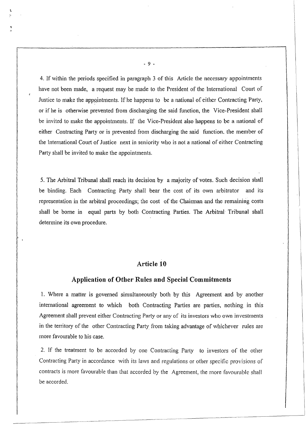4. If within the periods specified in paragraph 3 of this Article the necessary appointments have not been made, a request may be made to the President of the International Court of Justice to make the appointments. If he happens to be a national of either Contracting Party, or if he is otherwise prevented from discharging the said function, the Vice-President shall be invited to make the appointments. If the Vice-President also happens to be a national of either Contracting Party or is prevented from discharging the said fhnction. the member of the International Court of Justice next in seniority who is not a national of either Contracting Party shall be invited to make the appointments.

5. The Arbitral Tribunal shall reach its decision by a majority of votes. Such decision shall be binding. Each Contracting Party shall bear the cost of its own arbitrator and its representation in the arbitral proceedings; the cost of the Chairman and the remaining costs shall be borne in equal parts by both Contracting Parties. The Arbitral Tribunal shall determine its own procedure.

# **Article 10**

#### **Application of Other Rules and Special Commitments**

1. Where a matter is governed simultaneously both by this Agreement and by another international agreement to which both Contracting Parties are parties, nothing in this Agreement shall prevent either Contracting Party or any of its investors who own investments in the territory of the other Contracting Party from taking advantage of whichever rules are more favourable to his case.

2. If the treatment to be accorded by one Contracting Party to investors of the other Contracting Party in accordance with its laws and regulations or other specific provisions of contracts is more favourable than that accorded by the Agreement, the more favourable shall be accorded.

- 9 -